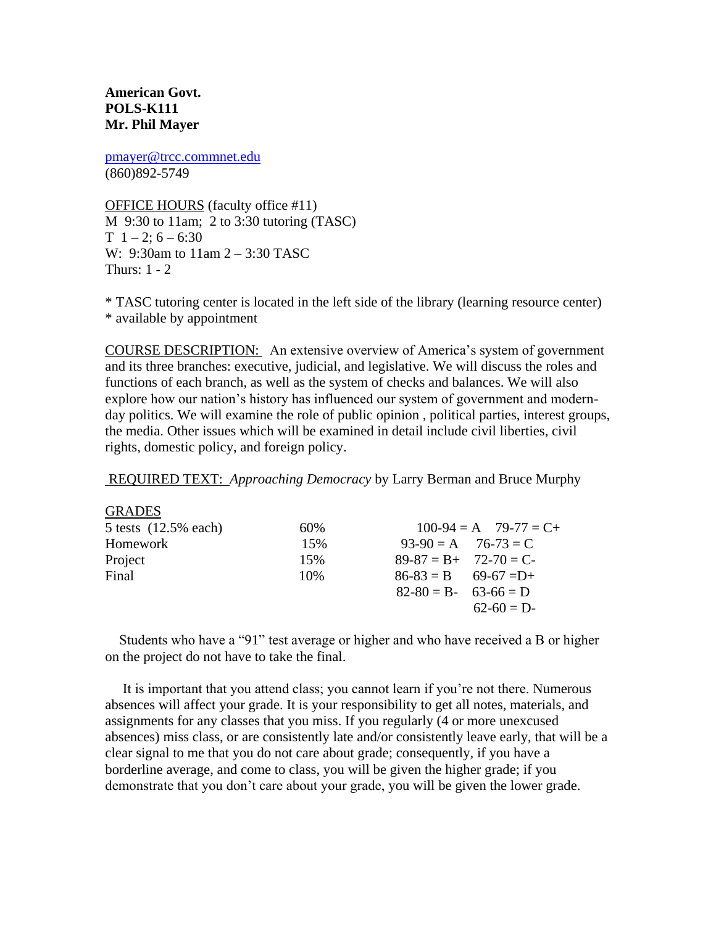**American Govt. POLS-K111 Mr. Phil Mayer**

[pmayer@trcc.commnet.edu](mailto:pmayer@trcc.commnet.edu) (860)892-5749

OFFICE HOURS (faculty office #11) M 9:30 to 11am; 2 to 3:30 tutoring (TASC)  $T \; 1 - 2$ ; 6 – 6:30 W: 9:30am to 11am 2 – 3:30 TASC Thurs: 1 - 2

\* TASC tutoring center is located in the left side of the library (learning resource center) \* available by appointment

COURSE DESCRIPTION: An extensive overview of America's system of government and its three branches: executive, judicial, and legislative. We will discuss the roles and functions of each branch, as well as the system of checks and balances. We will also explore how our nation's history has influenced our system of government and modernday politics. We will examine the role of public opinion , political parties, interest groups, the media. Other issues which will be examined in detail include civil liberties, civil rights, domestic policy, and foreign policy.

REQUIRED TEXT: *Approaching Democracy* by Larry Berman and Bruce Murphy

| <b>GRADES</b>             |     |                          |                           |
|---------------------------|-----|--------------------------|---------------------------|
| $5$ tests $(12.5\%$ each) | 60% |                          | $100-94 = A$ $79-77 = C+$ |
| Homework                  | 15% | $93-90 = A$ $76-73 = C$  |                           |
| Project                   | 15% | $89-87 = B + 72-70 = C$  |                           |
| Final                     | 10% | $86-83 = B$ $69-67 = D+$ |                           |
|                           |     | $82-80 = B - 63-66 = D$  |                           |
|                           |     |                          | $62-60 = D$               |
|                           |     |                          |                           |

 Students who have a "91" test average or higher and who have received a B or higher on the project do not have to take the final.

 It is important that you attend class; you cannot learn if you're not there. Numerous absences will affect your grade. It is your responsibility to get all notes, materials, and assignments for any classes that you miss. If you regularly (4 or more unexcused absences) miss class, or are consistently late and/or consistently leave early, that will be a clear signal to me that you do not care about grade; consequently, if you have a borderline average, and come to class, you will be given the higher grade; if you demonstrate that you don't care about your grade, you will be given the lower grade.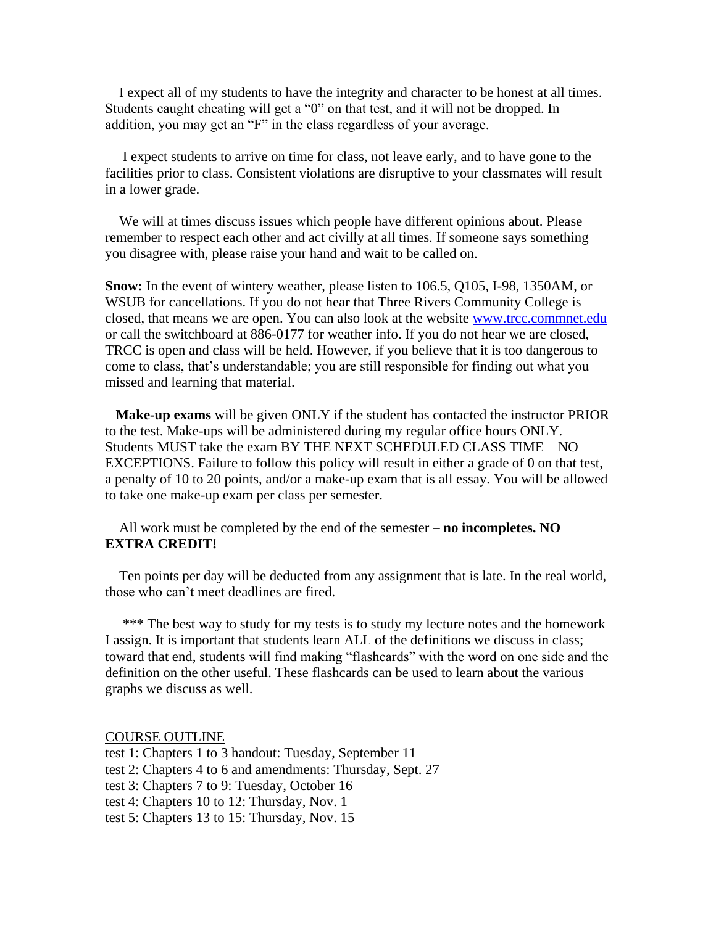I expect all of my students to have the integrity and character to be honest at all times. Students caught cheating will get a "0" on that test, and it will not be dropped. In addition, you may get an "F" in the class regardless of your average.

 I expect students to arrive on time for class, not leave early, and to have gone to the facilities prior to class. Consistent violations are disruptive to your classmates will result in a lower grade.

 We will at times discuss issues which people have different opinions about. Please remember to respect each other and act civilly at all times. If someone says something you disagree with, please raise your hand and wait to be called on.

**Snow:** In the event of wintery weather, please listen to 106.5, Q105, I-98, 1350AM, or WSUB for cancellations. If you do not hear that Three Rivers Community College is closed, that means we are open. You can also look at the website [www.trcc.commnet.edu](http://www.trcc.commnet.edu/) or call the switchboard at 886-0177 for weather info. If you do not hear we are closed, TRCC is open and class will be held. However, if you believe that it is too dangerous to come to class, that's understandable; you are still responsible for finding out what you missed and learning that material.

 **Make-up exams** will be given ONLY if the student has contacted the instructor PRIOR to the test. Make-ups will be administered during my regular office hours ONLY. Students MUST take the exam BY THE NEXT SCHEDULED CLASS TIME – NO EXCEPTIONS. Failure to follow this policy will result in either a grade of 0 on that test, a penalty of 10 to 20 points, and/or a make-up exam that is all essay. You will be allowed to take one make-up exam per class per semester.

 All work must be completed by the end of the semester – **no incompletes. NO EXTRA CREDIT!**

 Ten points per day will be deducted from any assignment that is late. In the real world, those who can't meet deadlines are fired.

\*\*\* The best way to study for my tests is to study my lecture notes and the homework I assign. It is important that students learn ALL of the definitions we discuss in class; toward that end, students will find making "flashcards" with the word on one side and the definition on the other useful. These flashcards can be used to learn about the various graphs we discuss as well.

COURSE OUTLINE

test 1: Chapters 1 to 3 handout: Tuesday, September 11 test 2: Chapters 4 to 6 and amendments: Thursday, Sept. 27 test 3: Chapters 7 to 9: Tuesday, October 16 test 4: Chapters 10 to 12: Thursday, Nov. 1 test 5: Chapters 13 to 15: Thursday, Nov. 15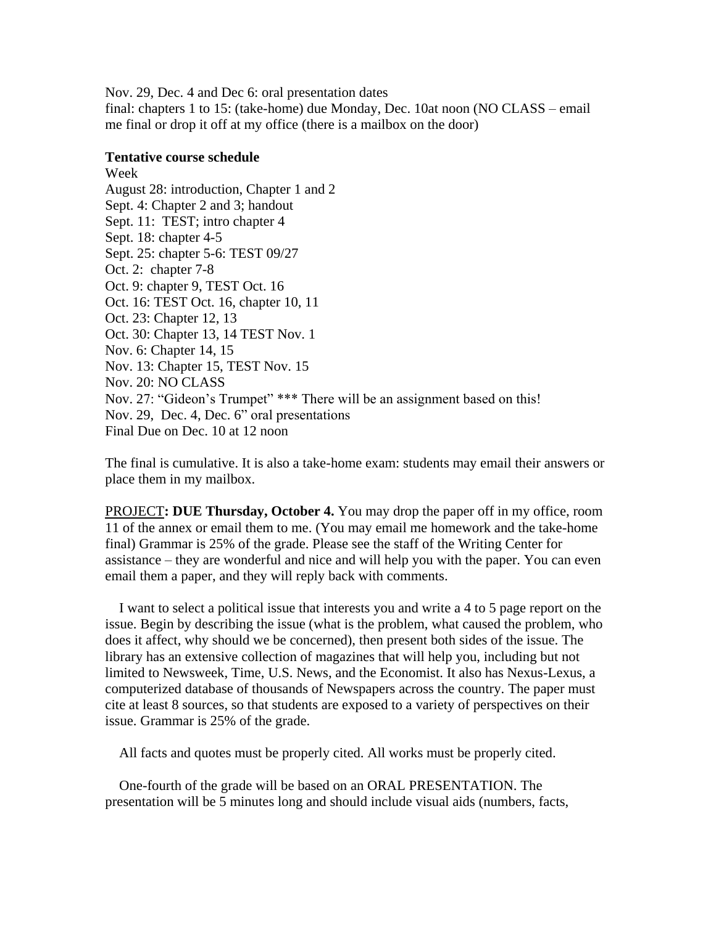Nov. 29, Dec. 4 and Dec 6: oral presentation dates final: chapters 1 to 15: (take-home) due Monday, Dec. 10at noon (NO CLASS – email me final or drop it off at my office (there is a mailbox on the door)

## **Tentative course schedule**

Week August 28: introduction, Chapter 1 and 2 Sept. 4: Chapter 2 and 3; handout Sept. 11: TEST; intro chapter 4 Sept. 18: chapter 4-5 Sept. 25: chapter 5-6: TEST 09/27 Oct. 2: chapter 7-8 Oct. 9: chapter 9, TEST Oct. 16 Oct. 16: TEST Oct. 16, chapter 10, 11 Oct. 23: Chapter 12, 13 Oct. 30: Chapter 13, 14 TEST Nov. 1 Nov. 6: Chapter 14, 15 Nov. 13: Chapter 15, TEST Nov. 15 Nov. 20: NO CLASS Nov. 27: "Gideon's Trumpet" \*\*\* There will be an assignment based on this! Nov. 29, Dec. 4, Dec. 6" oral presentations Final Due on Dec. 10 at 12 noon

The final is cumulative. It is also a take-home exam: students may email their answers or place them in my mailbox.

PROJECT**: DUE Thursday, October 4.** You may drop the paper off in my office, room 11 of the annex or email them to me. (You may email me homework and the take-home final) Grammar is 25% of the grade. Please see the staff of the Writing Center for assistance – they are wonderful and nice and will help you with the paper. You can even email them a paper, and they will reply back with comments.

 I want to select a political issue that interests you and write a 4 to 5 page report on the issue. Begin by describing the issue (what is the problem, what caused the problem, who does it affect, why should we be concerned), then present both sides of the issue. The library has an extensive collection of magazines that will help you, including but not limited to Newsweek, Time, U.S. News, and the Economist. It also has Nexus-Lexus, a computerized database of thousands of Newspapers across the country. The paper must cite at least 8 sources, so that students are exposed to a variety of perspectives on their issue. Grammar is 25% of the grade.

All facts and quotes must be properly cited. All works must be properly cited.

 One-fourth of the grade will be based on an ORAL PRESENTATION. The presentation will be 5 minutes long and should include visual aids (numbers, facts,